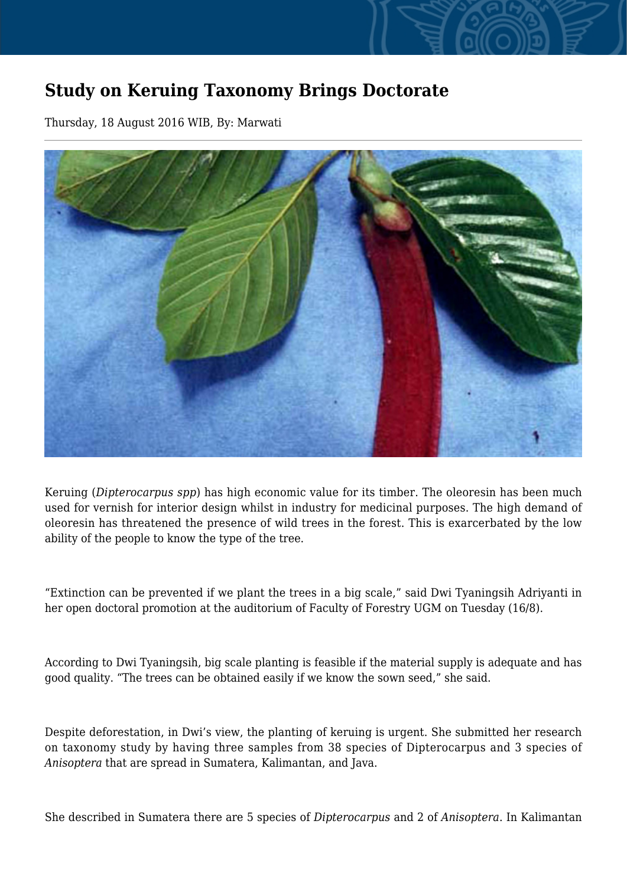## **Study on Keruing Taxonomy Brings Doctorate**

Thursday, 18 August 2016 WIB, By: Marwati



Keruing (*Dipterocarpus spp*) has high economic value for its timber. The oleoresin has been much used for vernish for interior design whilst in industry for medicinal purposes. The high demand of oleoresin has threatened the presence of wild trees in the forest. This is exarcerbated by the low ability of the people to know the type of the tree.

"Extinction can be prevented if we plant the trees in a big scale," said Dwi Tyaningsih Adriyanti in her open doctoral promotion at the auditorium of Faculty of Forestry UGM on Tuesday (16/8).

According to Dwi Tyaningsih, big scale planting is feasible if the material supply is adequate and has good quality. "The trees can be obtained easily if we know the sown seed," she said.

Despite deforestation, in Dwi's view, the planting of keruing is urgent. She submitted her research on taxonomy study by having three samples from 38 species of Dipterocarpus and 3 species of *Anisoptera* that are spread in Sumatera, Kalimantan, and Java.

She described in Sumatera there are 5 species of *Dipterocarpus* and 2 of *Anisoptera*. In Kalimantan